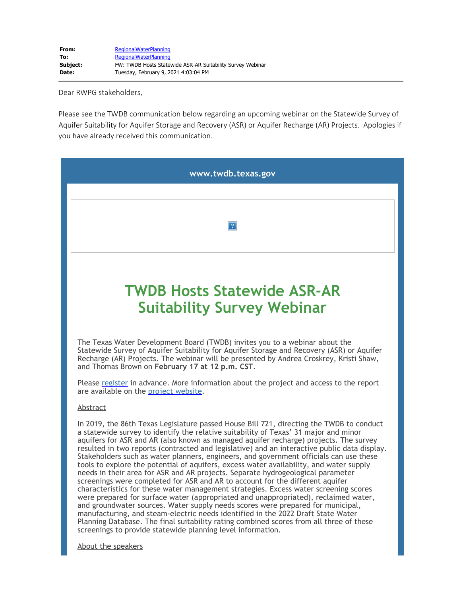Dear RWPG stakeholders,

Please see the TWDB communication below regarding an upcoming webinar on the Statewide Survey of Aquifer Suitability for Aquifer Storage and Recovery (ASR) or Aquifer Recharge (AR) Projects. Apologies if you have already received this communication.

| www.twdb.texas.gov                                                                                                                                                                                                                                                                                                                                                                                                                                                                                                                                                                                                                                                                                                                                                                                                                                                                                                                                                                                                                                                                                                                                                                                                                                 |
|----------------------------------------------------------------------------------------------------------------------------------------------------------------------------------------------------------------------------------------------------------------------------------------------------------------------------------------------------------------------------------------------------------------------------------------------------------------------------------------------------------------------------------------------------------------------------------------------------------------------------------------------------------------------------------------------------------------------------------------------------------------------------------------------------------------------------------------------------------------------------------------------------------------------------------------------------------------------------------------------------------------------------------------------------------------------------------------------------------------------------------------------------------------------------------------------------------------------------------------------------|
|                                                                                                                                                                                                                                                                                                                                                                                                                                                                                                                                                                                                                                                                                                                                                                                                                                                                                                                                                                                                                                                                                                                                                                                                                                                    |
| 2                                                                                                                                                                                                                                                                                                                                                                                                                                                                                                                                                                                                                                                                                                                                                                                                                                                                                                                                                                                                                                                                                                                                                                                                                                                  |
|                                                                                                                                                                                                                                                                                                                                                                                                                                                                                                                                                                                                                                                                                                                                                                                                                                                                                                                                                                                                                                                                                                                                                                                                                                                    |
| <b>TWDB Hosts Statewide ASR-AR</b><br><b>Suitability Survey Webinar</b>                                                                                                                                                                                                                                                                                                                                                                                                                                                                                                                                                                                                                                                                                                                                                                                                                                                                                                                                                                                                                                                                                                                                                                            |
| The Texas Water Development Board (TWDB) invites you to a webinar about the<br>Statewide Survey of Aquifer Suitability for Aquifer Storage and Recovery (ASR) or Aquifer<br>Recharge (AR) Projects. The webinar will be presented by Andrea Croskrey, Kristi Shaw,<br>and Thomas Brown on February 17 at 12 p.m. CST.                                                                                                                                                                                                                                                                                                                                                                                                                                                                                                                                                                                                                                                                                                                                                                                                                                                                                                                              |
| Please register in advance. More information about the project and access to the report<br>are available on the project website.                                                                                                                                                                                                                                                                                                                                                                                                                                                                                                                                                                                                                                                                                                                                                                                                                                                                                                                                                                                                                                                                                                                   |
| Abstract                                                                                                                                                                                                                                                                                                                                                                                                                                                                                                                                                                                                                                                                                                                                                                                                                                                                                                                                                                                                                                                                                                                                                                                                                                           |
| In 2019, the 86th Texas Legislature passed House Bill 721, directing the TWDB to conduct<br>a statewide survey to identify the relative suitability of Texas' 31 major and minor<br>aquifers for ASR and AR (also known as managed aquifer recharge) projects. The survey<br>resulted in two reports (contracted and legislative) and an interactive public data display.<br>Stakeholders such as water planners, engineers, and government officials can use these<br>tools to explore the potential of aquifers, excess water availability, and water supply<br>needs in their area for ASR and AR projects. Separate hydrogeological parameter<br>screenings were completed for ASR and AR to account for the different aquifer<br>characteristics for these water management strategies. Excess water screening scores<br>were prepared for surface water (appropriated and unappropriated), reclaimed water,<br>and groundwater sources. Water supply needs scores were prepared for municipal,<br>manufacturing, and steam-electric needs identified in the 2022 Draft State Water<br>Planning Database. The final suitability rating combined scores from all three of these<br>screenings to provide statewide planning level information. |
| About the speakers                                                                                                                                                                                                                                                                                                                                                                                                                                                                                                                                                                                                                                                                                                                                                                                                                                                                                                                                                                                                                                                                                                                                                                                                                                 |